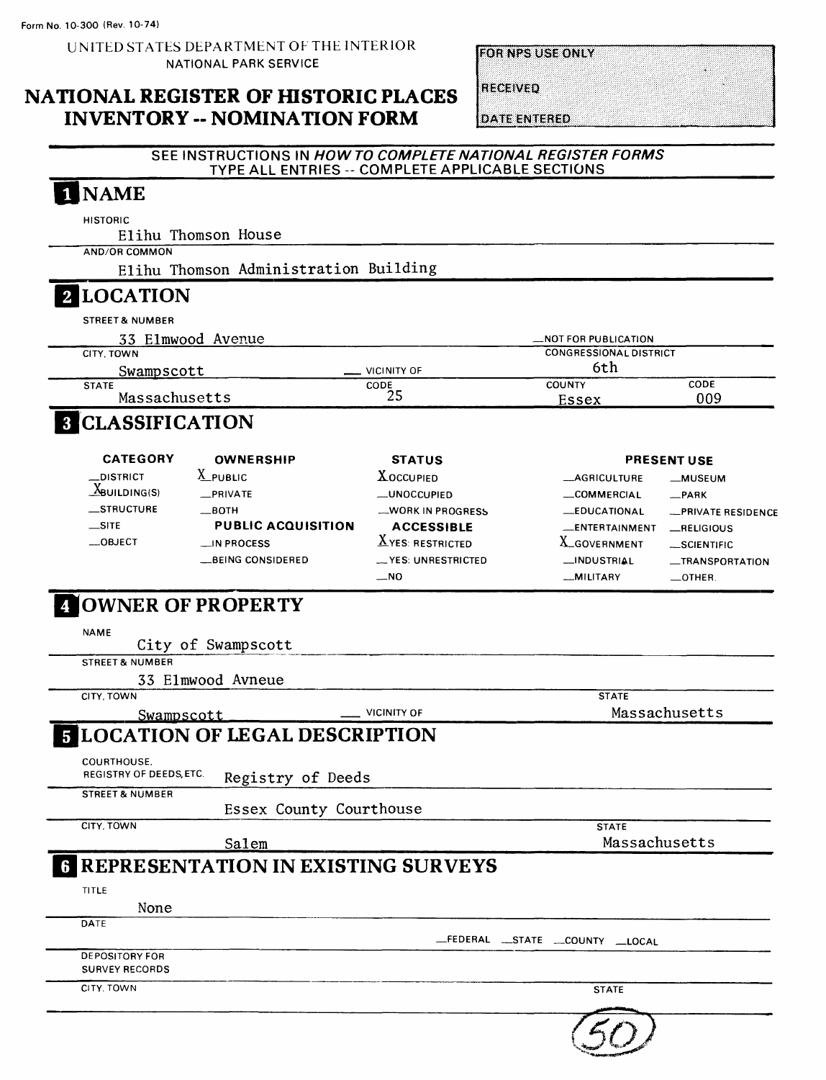UNITED STATES DEPARTMENT OF THE INTERIOR NATIONAL PARK SERVICE

**FOR NPS USE ONLY** 

## NATIONAL REGISTER OF HISTORIC PLACES INVENTORY -- NOMINATION FORM

**RECEIVED** 

**DATE ENTERED** 

 $\mathcal{L}$ 

### SEE INSTRUCTIONS IN HOW TO COMPLETE NATIONAL REGISTER FORMS TYPE ALL ENTRIES -- COMPLETE APPLICABLE SECTIONS

| <b>NAME</b>                                                     |                          |                                      |                            |
|-----------------------------------------------------------------|--------------------------|--------------------------------------|----------------------------|
| <b>HISTORIC</b><br>Elihu Thomson House                          |                          |                                      |                            |
| <b>AND/OR COMMON</b>                                            |                          |                                      |                            |
| Elihu Thomson Administration Building                           |                          |                                      |                            |
|                                                                 |                          |                                      |                            |
| 2 LOCATION                                                      |                          |                                      |                            |
| <b>STREET &amp; NUMBER</b>                                      |                          |                                      |                            |
| 33 Elmwood Avenue                                               |                          | <b>MOT FOR PUBLICATION</b>           |                            |
| CITY, TOWN                                                      | . VICINITY OF            | <b>CONGRESSIONAL DISTRICT</b><br>6th |                            |
| <u>Swampscott</u><br><b>STATE</b>                               | CODE                     | <b>COUNTY</b>                        | CODE                       |
| Massachusetts                                                   | 25                       | <b>Essex</b>                         | 009                        |
| <b>8 CLASSIFICATION</b>                                         |                          |                                      |                            |
| <b>CATEGORY</b><br><b>OWNERSHIP</b>                             | <b>STATUS</b>            |                                      | <b>PRESENT USE</b>         |
| $X$ public<br>_DISTRICT                                         | <b>XOCCUPIED</b>         | <b>__AGRICULTURE</b>                 | __MUSEUM                   |
| $X_{\text{BULDING(S)}}$<br>_PRIVATE                             | _UNOCCUPIED              | _COMMERCIAL                          | $-$ PARK                   |
| STRUCTURE<br>—вотн                                              | <b>WORK IN PROGRESS</b>  | <b>__EDUCATIONAL</b>                 | <b>__PRIVATE RESIDENCE</b> |
| $\equiv$ SITE<br><b>PUBLIC ACQUISITION</b>                      | <b>ACCESSIBLE</b>        | <b>ENTERTAINMENT</b>                 | RELIGIOUS                  |
| $\equiv$ OBJECT<br>_IN PROCESS                                  | $\Delta$ YES: RESTRICTED | X_GOVERNMENT                         | __SCIENTIFIC               |
| <b>BEING CONSIDERED</b>                                         | __ YES: UNRESTRICTED     | _INDUSTRIAL                          | <b>__TRANSPORTATION</b>    |
|                                                                 |                          |                                      | $\equiv$ OTHER.            |
| <b>JOWNER OF PROPERTY</b>                                       | $\sim$ NO                | -MILITARY                            |                            |
| <b>NAME</b><br>City of Swampscott<br><b>STREET &amp; NUMBER</b> |                          |                                      |                            |
| 33 Elmwood Avneue                                               |                          |                                      |                            |
| CITY, TOWN                                                      |                          | <b>STATE</b>                         |                            |
| Swampscott                                                      | <b>VICINITY OF</b>       |                                      | Massachusetts              |
| <b>5 LOCATION OF LEGAL DESCRIPTION</b>                          |                          |                                      |                            |
| COURTHOUSE.<br>REGISTRY OF DEEDS, ETC.                          |                          |                                      |                            |
| Registry of Deeds<br><b>STREET &amp; NUMBER</b>                 |                          |                                      |                            |
| Essex County Courthouse                                         |                          |                                      |                            |
| CITY, TOWN                                                      |                          | <b>STATE</b>                         |                            |
| Salem                                                           |                          | Massachusetts                        |                            |
|                                                                 |                          |                                      |                            |
| <b>6 REPRESENTATION IN EXISTING SURVEYS</b>                     |                          |                                      |                            |
| TITLE                                                           |                          |                                      |                            |
| None<br>DATE                                                    |                          |                                      |                            |
|                                                                 |                          | _FEDERAL __STATE __COUNTY __LOCAL    |                            |
| <b>DEPOSITORY FOR</b>                                           |                          |                                      |                            |
| <b>SURVEY RECORDS</b>                                           |                          |                                      |                            |
| CITY, TOWN                                                      |                          | <b>STATE</b>                         |                            |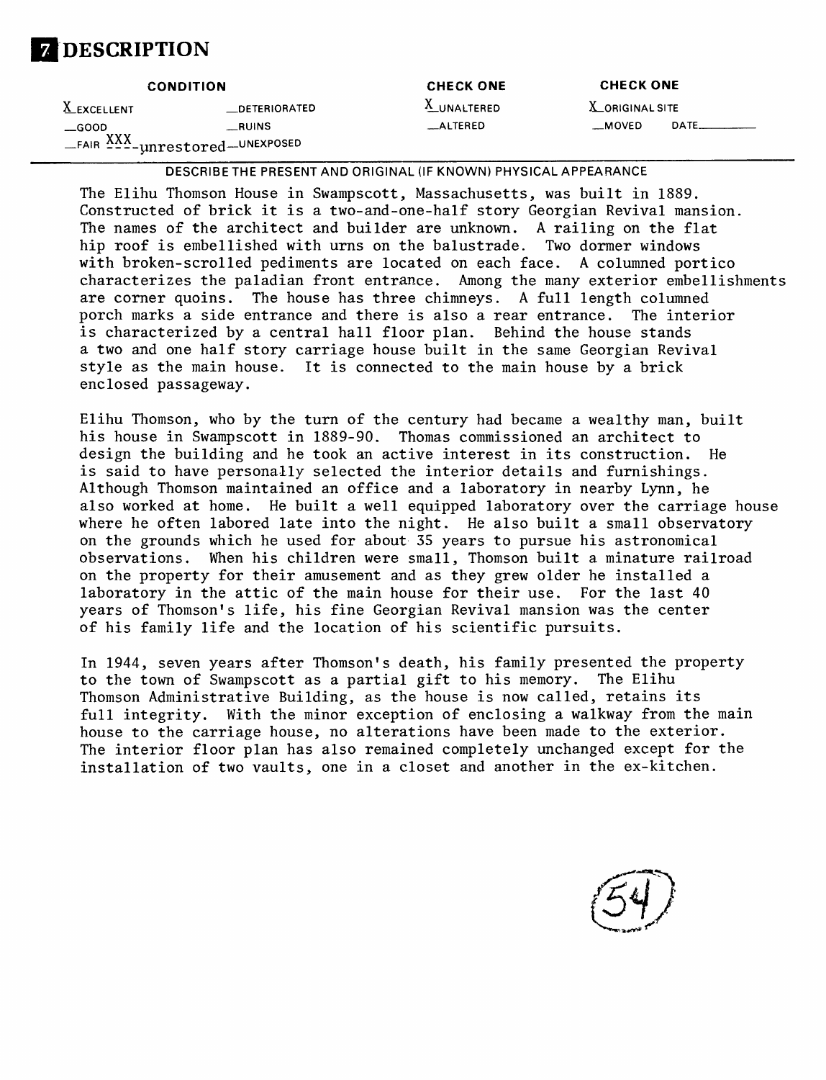

|               | <b>CONDITION</b>              | <b>CHECK ONE</b> | <b>CHECK ONE</b>       |       |
|---------------|-------------------------------|------------------|------------------------|-------|
| X EXCELLENT   | <b>DETERIORATED</b>           | X_UNALTERED      | <b>X</b> ORIGINAL SITE |       |
| $\equiv$ GOOD | <b>RUINS</b>                  | $\_$ ALTERED     | <b>MOVED</b>           | DATE_ |
|               | FAIR XXX-unrestored-UNEXPOSED |                  |                        |       |

DESCRIBETHE PRESENT AND ORIGINAL (IF KNOWN) PHYSICAL APPEARANCE

The Elihu Thomson House in Swampscott, Massachusetts, was built in 1889. Constructed of brick it is a two-and-one-half story Georgian Revival mansion. The names of the architect and builder are unknown. A railing on the flat hip roof is embellished with urns on the balustrade. Two dormer windows with broken-scrolled pediments are located on each face. A columned portico characterizes the paladian front entrance. Among the many exterior embellishments are corner quoins. The house has three chimneys. A full length columned porch marks a side entrance and there is also a rear entrance. The interior is characterized by a central hall floor plan. Behind the house stands a two and one half story carriage house built in the same Georgian Revival style as the main house. It is connected to the main house by a brick enclosed passageway.

Elihu Thomson, who by the turn of the century had became a wealthy man, built his house in Swampscott in 1889-90. Thomas commissioned an architect to design the building and he took an active interest in its construction. He is said to have personally selected the interior details and furnishings. Although Thomson maintained an office and a laboratory in nearby Lynn, he also worked at home. He built a well equipped laboratory over the carriage house where he often labored late into the night. He also built a small observatory on the grounds which he used for about 35 years to pursue his astronomical observations. When his children were small, Thomson built a minature railroad on the property for their amusement and as they grew older he installed a laboratory in the attic of the main house for their use. For the last 40 years of Thomson's life, his fine Georgian Revival mansion was the center of his family life and the location of his scientific pursuits.

In 1944, seven years after Thomson's death, his family presented the property to the town of Swampscott as a partial gift to his memory. The Elihu Thomson Administrative Building, as the house is now called, retains its full integrity. With the minor exception of enclosing a walkway from the main house to the carriage house, no alterations have been made to the exterior. The interior floor plan has also remained completely unchanged except for the installation of two vaults, one in a closet and another in the ex-kitchen.

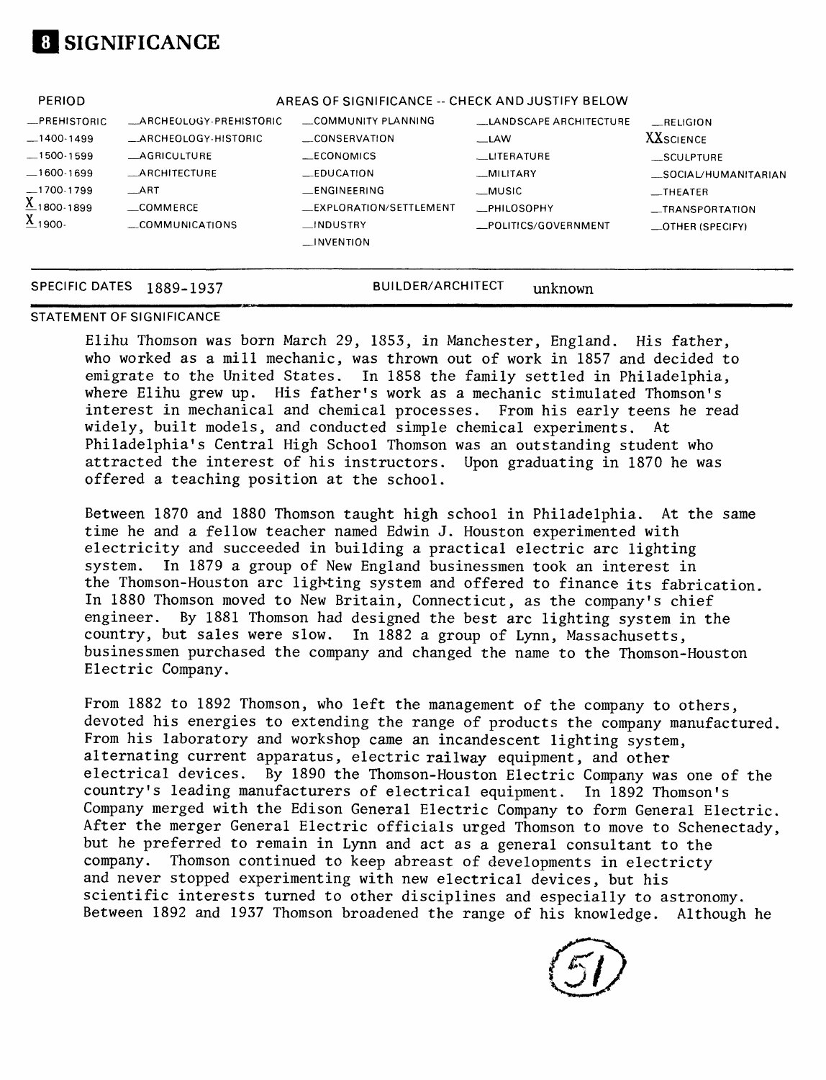

| <b>PERIOD</b>                    |                         | AREAS OF SIGNIFICANCE -- CHECK AND JUSTIFY BELOW |                               |                      |
|----------------------------------|-------------------------|--------------------------------------------------|-------------------------------|----------------------|
| _PREHISTORIC                     | _ARCHEOLOGY-PREHISTORIC | COMMUNITY PLANNING                               | <b>LANDSCAPE ARCHITECTURE</b> | RELIGION             |
| $-1400-1499$                     | _ARCHEOLOGY-HISTORIC    | _CONSERVATION                                    | $-LAW$                        | <b>XX</b> SCIENCE    |
| $-1500-1599$                     | AGRICULTURE             | __ECONOMICS                                      | LITERATURE                    | $\_$ SCULPTURE       |
| .600-1699                        | <b>_ARCHITECTURE</b>    | $E$ DUCATION                                     | _MILITARY                     | _SOCIAL/HUMANITARIAN |
| 1700-1799                        | <b>ART</b>              | _ENGINEERING                                     | $-MUSIC$                      | __THEATER            |
| $\underline{\text{X}}$ 1800-1899 | $\equiv$ COMMERCE       | _EXPLORATION/SETTLEMENT                          | _PHILOSOPHY                   | __TRANSPORTATION     |
| $\underline{X}_{1900}$ .         | COMMUNICATIONS          | $_{\text{L}}$ INDUSTRY                           | _POLITICS/GOVERNMENT          | $\_$ OTHER (SPECIFY) |
|                                  |                         | $\Box$ INVENTION                                 |                               |                      |
|                                  |                         |                                                  |                               |                      |

#### SPECIFIC DATES 1889-1937 BUILDER/ARCHITECT unknown

#### STATEMENT OF SIGNIFICANCE

Elihu Thomson was born March 29, 1853, in Manchester, England. His father, who worked as a mill mechanic, was thrown out of work in 1857 and decided to emigrate to the United States. In 1858 the family settled in Philadelphia, where Elihu grew up. His father's work as a mechanic stimulated Thomson's interest in mechanical and chemical processes. From his early teens he read widely, built models, and conducted simple chemical experiments. At Philadelphia's Central High School Thomson was an outstanding student who attracted the interest of his instructors. Upon graduating in 1870 he was offered a teaching position at the school.

Between 1870 and 1880 Thomson taught high school in Philadelphia. At the same time he and a fellow teacher named Edwin J. Houston experimented with electricity and succeeded in building a practical electric arc lighting system. In 1879 a group of New England businessmen took an interest in the Thomson-Houston arc lighting system and offered to finance its fabrication. In 1880 Thomson moved to New Britain, Connecticut, as the company's chief engineer. By 1881 Thomson had designed the best arc lighting system in the country, but sales were slow. In 1882 a group of Lynn, Massachusetts, businessmen purchased the company and changed the name to the Thomson-Houston Electric Company.

From 1882 to 1892 Thomson, who left the management of the company to others, devoted his energies to extending the range of products the company manufactured. From his laboratory and workshop came an incandescent lighting system, alternating current apparatus, electric railway equipment, and other electrical devices. By 1890 the Thomson-Houston Electric Company was one of the country's leading manufacturers of electrical equipment. In 1892 Thomson's Company merged with the Edison General Electric Company to form General Electric. After the merger General Electric officials urged Thomson to move to Schenectady, but he preferred to remain in Lynn and act as a general consultant to the company. Thomson continued to keep abreast of developments in electricty and never stopped experimenting with new electrical devices, but his scientific interests turned to other disciplines and especially to astronomy. Between 1892 and 1937 Thomson broadened the range of his knowledge. Although he

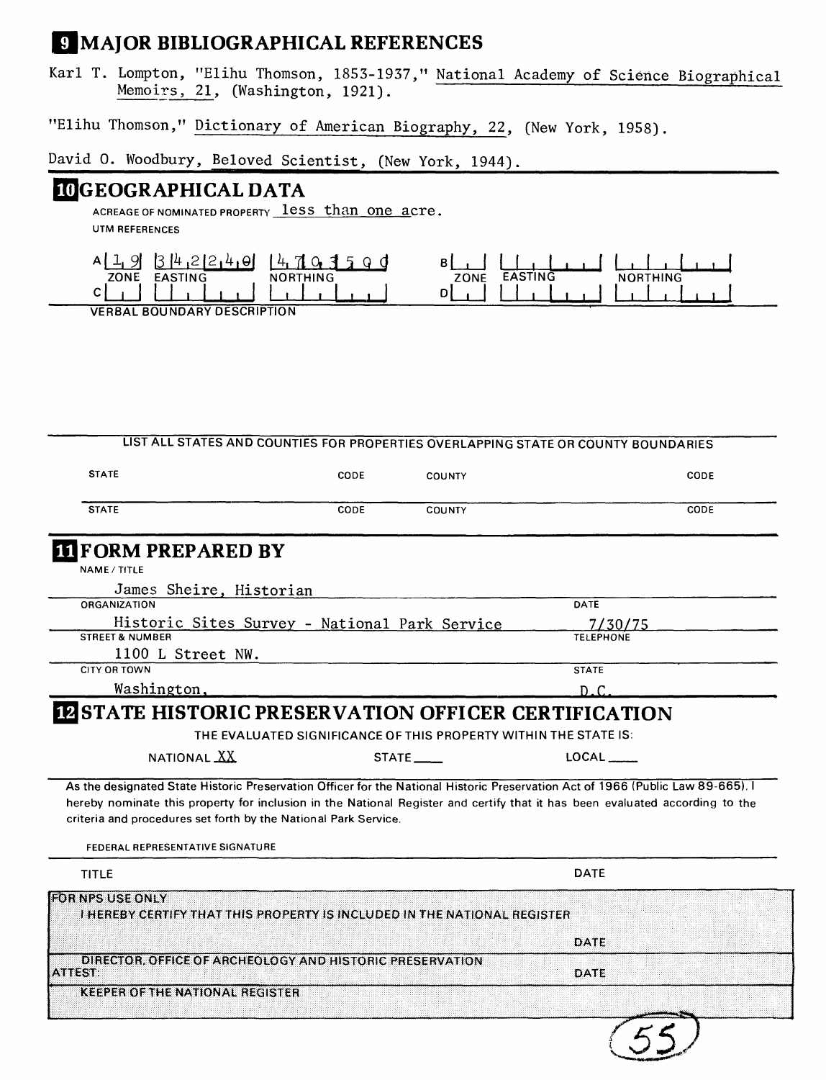# *MAJOR BIBLIOGRAPHICAL REFERENCES*

Karl T. Lompton, "Elihu Thomson, 1855-1957," National Academy of Science Biographical Memoirs, 21, (Washington, 1921).

"Elihu Thomson," Dictionary of American Biography, 22, (New York, 1958).

David O. Woodbury, Beloved Scientist, (New York, 1944).

## UGEOGRAPHICAL DATA

ACREAGE OF NOMINATED PROPERTY less than one acre. **UTM REFERENCES**



**VERBAL BOUNDARY DESCRIPTION**

| <b>STATE</b>                                                                                                              | CODE | COUNTY       | CODE                                                                                                                                                                                                                                                                            |  |
|---------------------------------------------------------------------------------------------------------------------------|------|--------------|---------------------------------------------------------------------------------------------------------------------------------------------------------------------------------------------------------------------------------------------------------------------------------|--|
| <b>STATE</b>                                                                                                              | CODE | COUNTY       | CODE                                                                                                                                                                                                                                                                            |  |
| <b>III</b> FORM PREPARED BY                                                                                               |      |              |                                                                                                                                                                                                                                                                                 |  |
| NAME / TITLE                                                                                                              |      |              |                                                                                                                                                                                                                                                                                 |  |
| James Sheire, Historian                                                                                                   |      |              |                                                                                                                                                                                                                                                                                 |  |
| ORGANIZATION                                                                                                              |      |              | DATE                                                                                                                                                                                                                                                                            |  |
| Historic Sites Survey - National Park Service                                                                             |      |              | 7/30/75                                                                                                                                                                                                                                                                         |  |
| <b>STREET &amp; NUMBER</b>                                                                                                |      |              | <b>TELEPHONE</b>                                                                                                                                                                                                                                                                |  |
| 1100 L Street NW.                                                                                                         |      |              |                                                                                                                                                                                                                                                                                 |  |
| CITY OR TOWN                                                                                                              |      |              | <b>STATE</b>                                                                                                                                                                                                                                                                    |  |
| Washington,                                                                                                               |      |              | D.C.                                                                                                                                                                                                                                                                            |  |
| NATIONAL XX<br>criteria and procedures set forth by the National Park Service.<br><b>FEDERAL REPRESENTATIVE SIGNATURE</b> |      | <b>STATE</b> | <b>LOCAL</b><br>As the designated State Historic Preservation Officer for the National Historic Preservation Act of 1966 (Public Law 89-665). I<br>hereby nominate this property for inclusion in the National Register and certify that it has been evaluated according to the |  |
| <b>TITLE</b>                                                                                                              |      |              | <b>DATE</b>                                                                                                                                                                                                                                                                     |  |
| <b>FOR NPS USE ONLY</b><br>I HEREBY CERTIFY THAT THIS PROPERTY IS INCLUDED IN THE NATIONAL REGISTER.                      |      |              |                                                                                                                                                                                                                                                                                 |  |
|                                                                                                                           |      |              | DATE                                                                                                                                                                                                                                                                            |  |
| DIRECTOR, OFFICE OF ARCHEOLOGY AND HISTORIC PRESERVATION<br><b>ATTEST:</b>                                                |      |              | DATE                                                                                                                                                                                                                                                                            |  |
| <b>KEEPER OF THE NATIONAL REGISTER</b>                                                                                    |      |              |                                                                                                                                                                                                                                                                                 |  |
|                                                                                                                           |      |              |                                                                                                                                                                                                                                                                                 |  |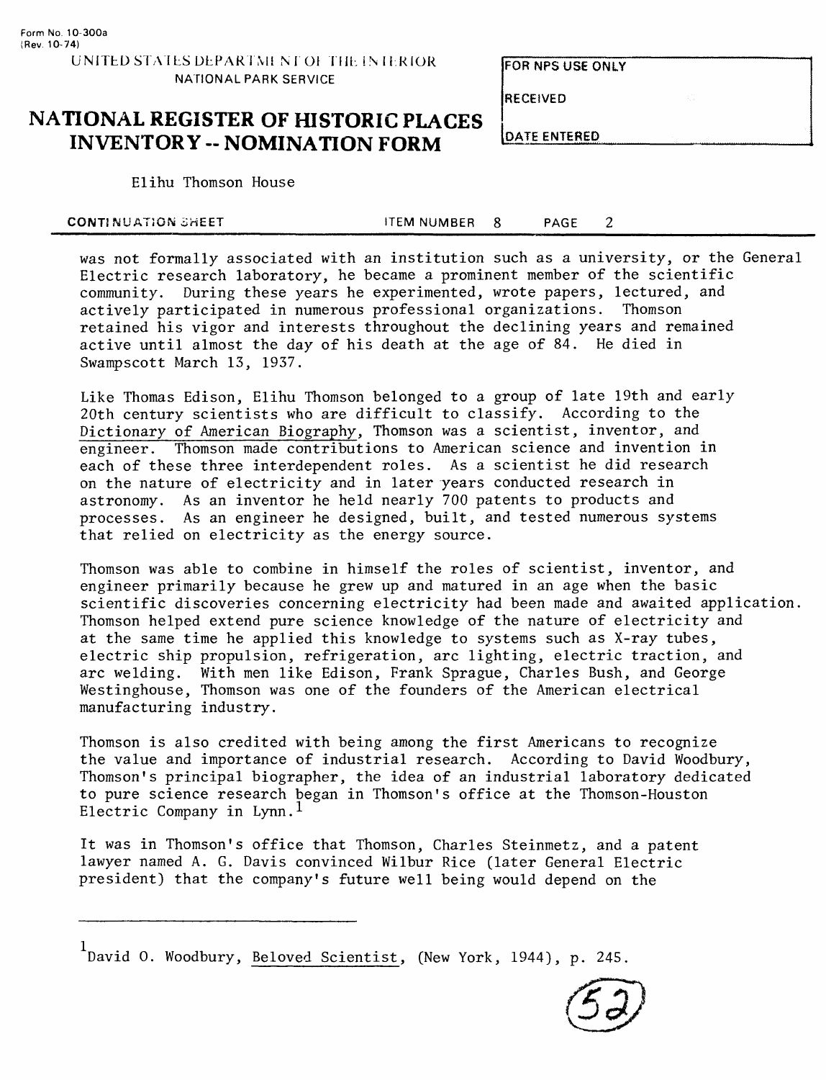FOR NFS USE ONLY

RECEIVED

# **NATIONAL REGISTER OF HISTORIC PLACES INVENTORY -- NOMINATION FORM**

Elihu Thomson House

| CONTINUATION SHEET | ITEM NUMBER | <b>PAGE</b> |  |
|--------------------|-------------|-------------|--|
|                    |             |             |  |

was not formally associated with an institution such as a university, or the General Electric research laboratory, he became a prominent member of the scientific community. During these years he experimented, wrote papers, lectured, and actively participated in numerous professional organizations. Thomson retained his vigor and interests throughout the declining years and remained active until almost the day of his death at the age of 84. He died in Swampscott March 13, 1937.

Like Thomas Edison, Elihu Thomson belonged to a group of late 19th and early 20th century scientists who are difficult to classify. According to the Dictionary of American Biography, Thomson was a scientist, inventor, and engineer. Thomson made contributions to American science and invention in each of these three interdependent roles. As a scientist he did research on the nature of electricity and in later years conducted research in astronomy. As an inventor he held nearly 700 patents to products and processes. As an engineer he designed, built, and tested numerous systems that relied on electricity as the energy source.

Thomson was able to combine in himself the roles of scientist, inventor, and engineer primarily because he grew up and matured in an age when the basic scientific discoveries concerning electricity had been made and awaited application. Thomson helped extend pure science knowledge of the nature of electricity and at the same time he applied this knowledge to systems such as X-ray tubes, electric ship propulsion, refrigeration, arc lighting, electric traction, and arc welding. With men like Edison, Frank Sprague, Charles Bush, and George Westinghouse, Thomson was one of the founders of the American electrical manufacturing industry.

Thomson is also credited with being among the first Americans to recognize the value and importance of industrial research. According to David Woodbury, Thomson's principal biographer, the idea of an industrial laboratory dedicated to pure science research began in Thomson's office at the Thomson-Houston Electric Company in Lynn.<sup>1</sup>

It was in Thomson's office that Thomson, Charles Steinmetz, and a patent lawyer named A. G. Davis convinced Wilbur Rice (later General Electric president) that the company's future well being would depend on the

 $1$ David O. Woodbury, Beloved Scientist, (New York, 1944), p. 245.



**LOATE ENTERED**